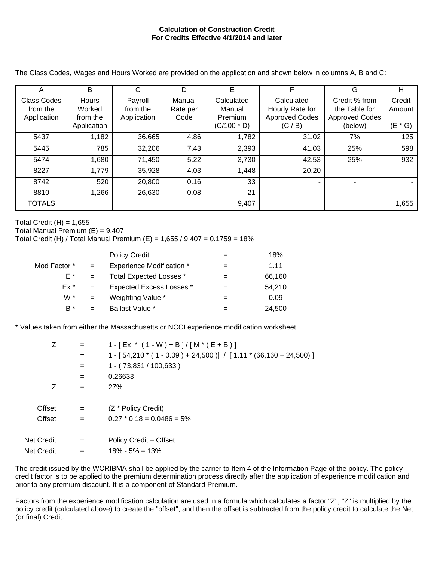## **Calculation of Construction Credit For Credits Effective 4/1/2014 and later**

The Class Codes, Wages and Hours Worked are provided on the application and shown below in columns A, B and C:

| Α                  | B            | С           | D        | E             | F                     | G                     | Н            |
|--------------------|--------------|-------------|----------|---------------|-----------------------|-----------------------|--------------|
| <b>Class Codes</b> | <b>Hours</b> | Payroll     | Manual   | Calculated    | Calculated            | Credit % from         | Credit       |
| from the           | Worked       | from the    | Rate per | Manual        | Hourly Rate for       | the Table for         | Amount       |
| Application        | from the     | Application | Code     | Premium       | <b>Approved Codes</b> | <b>Approved Codes</b> |              |
|                    | Application  |             |          | $(C/100 * D)$ | (C / B)               | (below)               | (E<br>$*$ G) |
| 5437               | 1,182        | 36,665      | 4.86     | 1,782         | 31.02                 | 7%                    | 125          |
| 5445               | 785          | 32,206      | 7.43     | 2,393         | 41.03                 | 25%                   | 598          |
| 5474               | 1,680        | 71,450      | 5.22     | 3,730         | 42.53                 | 25%                   | 932          |
| 8227               | 1,779        | 35,928      | 4.03     | 1,448         | 20.20                 |                       |              |
| 8742               | 520          | 20,800      | 0.16     | 33            | ۰                     |                       |              |
| 8810               | 1,266        | 26,630      | 0.08     | 21            | ۰                     |                       |              |
| <b>TOTALS</b>      |              |             |          | 9,407         |                       |                       | 1,655        |

Total Credit  $(H) = 1,655$ 

Total Manual Premium  $(E) = 9,407$ 

Total Credit (H) / Total Manual Premium (E) = 1,655 / 9,407 = 0.1759 = 18%

|              |     | <b>Policy Credit</b>             | 18%    |
|--------------|-----|----------------------------------|--------|
| Mod Factor * | $=$ | <b>Experience Modification *</b> | 1.11   |
| F*           | $=$ | Total Expected Losses *          | 66,160 |
| Ex *         | $=$ | <b>Expected Excess Losses *</b>  | 54.210 |
| W *          | $=$ | Weighting Value *                | 0.09   |
| $B^*$        | $=$ | <b>Ballast Value *</b>           | 24,500 |

\* Values taken from either the Massachusetts or NCCI experience modification worksheet.

| Z          | $=$ | $1 - [Ex * (1 - W) + B]/[M * (E + B)]$                         |
|------------|-----|----------------------------------------------------------------|
|            | $=$ | $1 - [54,210*(1 - 0.09) + 24,500)] / [1.11*(66,160 + 24,500)]$ |
|            | $=$ | $1 - (73,831 / 100,633)$                                       |
|            | $=$ | 0.26633                                                        |
| Z          | $=$ | 27%                                                            |
|            |     |                                                                |
| Offset     | $=$ | (Z * Policy Credit)                                            |
| Offset     | $=$ | $0.27 * 0.18 = 0.0486 = 5\%$                                   |
|            |     |                                                                |
| Net Credit | $=$ | Policy Credit - Offset                                         |
| Net Credit | $=$ | $18\% - 5\% = 13\%$                                            |

The credit issued by the WCRIBMA shall be applied by the carrier to Item 4 of the Information Page of the policy. The policy credit factor is to be applied to the premium determination process directly after the application of experience modification and prior to any premium discount. It is a component of Standard Premium.

Factors from the experience modification calculation are used in a formula which calculates a factor "Z", "Z" is multiplied by the policy credit (calculated above) to create the "offset", and then the offset is subtracted from the policy credit to calculate the Net (or final) Credit.